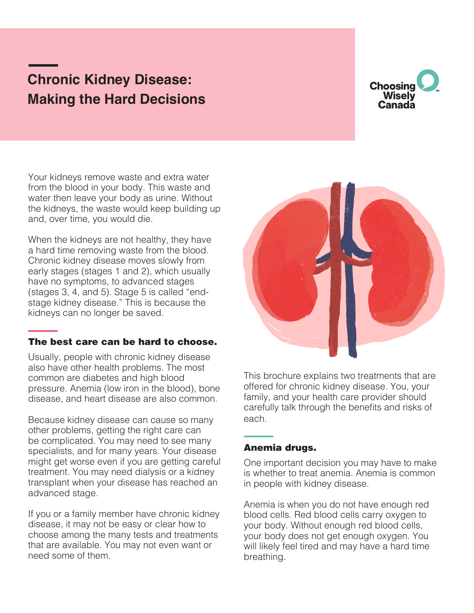# **Chronic Kidney Disease: Making the Hard Decisions**



Your kidneys remove waste and extra water from the blood in your body. This waste and water then leave your body as urine. Without the kidneys, the waste would keep building up and, over time, you would die.

When the kidneys are not healthy, they have a hard time removing waste from the blood. Chronic kidney disease moves slowly from early stages (stages 1 and 2), which usually have no symptoms, to advanced stages (stages 3, 4, and 5). Stage 5 is called "endstage kidney disease." This is because the kidneys can no longer be saved.

### The best care can be hard to choose.

Usually, people with chronic kidney disease also have other health problems. The most common are diabetes and high blood pressure. Anemia (low iron in the blood), bone disease, and heart disease are also common.

Because kidney disease can cause so many other problems, getting the right care can be complicated. You may need to see many specialists, and for many years. Your disease might get worse even if you are getting careful treatment. You may need dialysis or a kidney transplant when your disease has reached an advanced stage.

If you or a family member have chronic kidney disease, it may not be easy or clear how to choose among the many tests and treatments that are available. You may not even want or need some of them.



This brochure explains two treatments that are offered for chronic kidney disease. You, your family, and your health care provider should carefully talk through the benefits and risks of each.

### Anemia drugs.

One important decision you may have to make is whether to treat anemia. Anemia is common in people with kidney disease.

Anemia is when you do not have enough red blood cells. Red blood cells carry oxygen to your body. Without enough red blood cells, your body does not get enough oxygen. You will likely feel tired and may have a hard time breathing.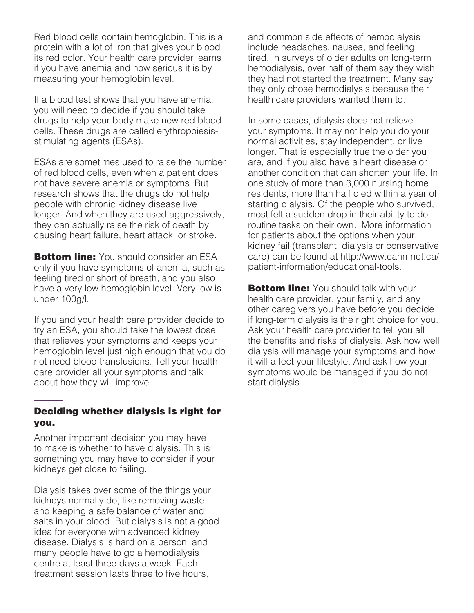Red blood cells contain hemoglobin. This is a protein with a lot of iron that gives your blood its red color. Your health care provider learns if you have anemia and how serious it is by measuring your hemoglobin level.

If a blood test shows that you have anemia, you will need to decide if you should take drugs to help your body make new red blood cells. These drugs are called erythropoiesisstimulating agents (ESAs).

ESAs are sometimes used to raise the number of red blood cells, even when a patient does not have severe anemia or symptoms. But research shows that the drugs do not help people with chronic kidney disease live longer. And when they are used aggressively, they can actually raise the risk of death by causing heart failure, heart attack, or stroke.

**Bottom line:** You should consider an ESA only if you have symptoms of anemia, such as feeling tired or short of breath, and you also have a very low hemoglobin level. Very low is under 100g/l.

If you and your health care provider decide to try an ESA, you should take the lowest dose that relieves your symptoms and keeps your hemoglobin level just high enough that you do not need blood transfusions. Tell your health care provider all your symptoms and talk about how they will improve.

#### Deciding whether dialysis is right for you.

Another important decision you may have to make is whether to have dialysis. This is something you may have to consider if your kidneys get close to failing.

Dialysis takes over some of the things your kidneys normally do, like removing waste and keeping a safe balance of water and salts in your blood. But dialysis is not a good idea for everyone with advanced kidney disease. Dialysis is hard on a person, and many people have to go a hemodialysis centre at least three days a week. Each treatment session lasts three to five hours,

and common side effects of hemodialysis include headaches, nausea, and feeling tired. In surveys of older adults on long-term hemodialysis, over half of them say they wish they had not started the treatment. Many say they only chose hemodialysis because their health care providers wanted them to.

In some cases, dialysis does not relieve your symptoms. It may not help you do your normal activities, stay independent, or live longer. That is especially true the older you are, and if you also have a heart disease or another condition that can shorten your life. In one study of more than 3,000 nursing home residents, more than half died within a year of starting dialysis. Of the people who survived, most felt a sudden drop in their ability to do routine tasks on their own. More information for patients about the options when your kidney fail (transplant, dialysis or conservative care) can be found at http://www.cann-net.ca/ patient-information/educational-tools.

**Bottom line:** You should talk with your health care provider, your family, and any other caregivers you have before you decide if long-term dialysis is the right choice for you. Ask your health care provider to tell you all the benefits and risks of dialysis. Ask how well dialysis will manage your symptoms and how it will affect your lifestyle. And ask how your symptoms would be managed if you do not start dialysis.